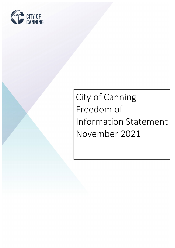

# City of Canning Freedom of Information Statement November 2021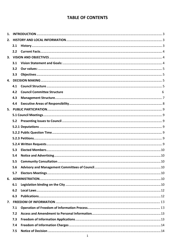## **TABLE OF CONTENTS**

| 2. |     |                                    |   |
|----|-----|------------------------------------|---|
|    | 2.1 |                                    |   |
|    | 2.2 |                                    |   |
|    |     |                                    |   |
|    | 3.1 |                                    |   |
|    | 3.2 |                                    |   |
|    | 3.3 |                                    |   |
|    |     |                                    |   |
|    | 4.1 |                                    |   |
|    | 4.2 | <b>Council Committee Structure</b> | 6 |
|    | 4.3 |                                    |   |
|    | 4.4 |                                    |   |
| 5. |     |                                    |   |
|    |     |                                    |   |
|    | 5.2 |                                    |   |
|    |     |                                    |   |
|    |     |                                    |   |
|    |     |                                    |   |
|    |     |                                    |   |
|    | 5.3 |                                    |   |
|    | 5.4 |                                    |   |
|    | 5.5 |                                    |   |
|    | 5.6 |                                    |   |
|    | 5.7 |                                    |   |
|    |     |                                    |   |
|    | 6.1 |                                    |   |
|    | 6.2 |                                    |   |
|    | 6.3 |                                    |   |
|    |     |                                    |   |
|    | 7.1 |                                    |   |
|    | 7.2 |                                    |   |
|    | 7.3 |                                    |   |
|    | 7.4 |                                    |   |
|    | 7.5 |                                    |   |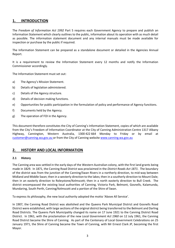## <span id="page-3-0"></span>**1. INTRODUCTION**

The *Freedom of Information Act 1992* Part 5 requires each Government Agency to prepare and publish an Information Statement which clearly outlines to the public, information about its operation with as much detail as possible. The information statement document and any internal manuals must be made available for inspection or purchase by the public if required.

The Information Statement can be prepared as a standalone document or detailed in the Agencies Annual Report.

It is a requirement to review the Information Statement every 12 months and notify the Information Commissioner accordingly.

The Information Statement must set out:

- a) The Agency's Mission Statement.
- b) Details of legislation administered.
- c) Details of the Agency structure.
- d) Details of decision making functions.
- e) Opportunities for public participation in the formulation of policy and performance of Agency functions.
- f) Documents held by the Agency.
- g) The operation of FOI in the Agency.

This document therefore constitutes the City of Canning's Information Statement, copies of which are available from the City's Freedom of Information Coordinator at the City of Canning Administration Centre 1317 Albany Highway, Cannington, Western Australia, 1300 422 664 Monday to Friday or by email at [customer@canning.wa.gov.au](mailto:customer@canning.wa.gov.au) or from the City of Canning website [www.canning.wa.gov.au](http://www.canning.wa.gov.au/)

## <span id="page-3-1"></span>**2. HISTORY AND LOCAL INFORMATION**

#### <span id="page-3-2"></span>**2.1 History**

The Canning area was settled in the early days of the Western Australian colony, with the first land grants being made in 1829. In 1871, the Canning Road District was proclaimed in the *District Roads Act 1871*. The boundary of the district was from the junction of the Canning/Swan Rivers in a northerly direction, to mid-way between Midland and Middle Swan; then in a westerly direction to the lakes; then in a southerly direction to Mount Dale; then in an easterly direction to Roleystone/Kelmscott; then in a north easterly direction to Bull Creek. The district encompassed the existing local authorities of Canning, Victoria Park, Belmont, Gosnells, Kalamunda, Mundaring, South Perth, Canning/Kelmscott and a portion of the Shire of Swan.

To express its philosophy, the new local authority adopted the motto 'Above All Service'.

In 1907, the Canning Road District was abolished and the Queens Park Municipal District and Gosnells Road District were established, with large sections of the original district being transferred to the Belmont and Darling Road Districts. The Queens Park Municipality changed its name on 17 June 1921 to the Canning District Road District. In 1961, with the proclamation of the new *Local Government Act 1960* on 12 July 1961, the Canning Road District became the Shire of Canning. As part of the Centenary of Local Government Celebrations on 25 January 1971, the Shire of Canning became the Town of Canning, with Mr Ernest Clark JP, becoming the first Mayor.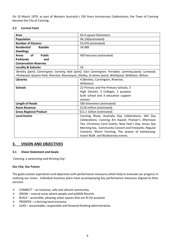On 10 March 1979, as part of Western Australia's 150 Years Anniversary Celebrations, the Town of Canning became the City of Canning.

#### <span id="page-4-0"></span>**2.2 Current Facts**

| Area                                                                                                 | 65.4 square kilometers                                                                              |  |  |  |
|------------------------------------------------------------------------------------------------------|-----------------------------------------------------------------------------------------------------|--|--|--|
| <b>Population</b>                                                                                    | 94,130(estimated)                                                                                   |  |  |  |
| <b>Number of Electors</b>                                                                            | 55,976 (estimated)                                                                                  |  |  |  |
| <b>Residential</b><br>Ratable                                                                        | 34,989                                                                                              |  |  |  |
| <b>Dwellings</b>                                                                                     |                                                                                                     |  |  |  |
| of<br><b>Public</b><br><b>Areas</b>                                                                  | 450 hectares (estimated)                                                                            |  |  |  |
| <b>Parklands</b><br>and                                                                              |                                                                                                     |  |  |  |
| <b>Conservation Reserves</b>                                                                         |                                                                                                     |  |  |  |
| <b>Locality &amp; Suburbs</b>                                                                        | 16                                                                                                  |  |  |  |
| Bentley (part); Cannington; Canning Vale (part); East Cannington; Ferndale; Leeming (part); Lynwood; |                                                                                                     |  |  |  |
|                                                                                                      | Parkwood; Queens Park; Riverton; Rossmoyne; Shelley; St James (part); Welshpool; Willetton; Wilson. |  |  |  |
| <b>Libraries</b>                                                                                     | 4 (Bentley, Cannington, Riverton,                                                                   |  |  |  |
|                                                                                                      | Willetton)                                                                                          |  |  |  |
| <b>Schools</b>                                                                                       | 22 Primary and Pre-Primary Schools, 5                                                               |  |  |  |
|                                                                                                      | High Schools, 5 Colleges, 1 purpose                                                                 |  |  |  |
|                                                                                                      | built school and 3 education support                                                                |  |  |  |
|                                                                                                      | centres                                                                                             |  |  |  |
| <b>Length of Roads</b>                                                                               | 585 kilometers (estimated)                                                                          |  |  |  |
| <b>Rates Revenue</b>                                                                                 | \$118 million (estimated)                                                                           |  |  |  |
| <b>Gross Regional Product</b>                                                                        | \$11.2 billion (estimated)                                                                          |  |  |  |
| <b>Local Events</b>                                                                                  | Canning Show; Australia Day Celebrations; WA Day                                                    |  |  |  |
|                                                                                                      | Celebrations; Canning Art Award; Pioneer's Afternoon                                                |  |  |  |
|                                                                                                      | Tea; Christmas Carol Events; New Year's Day, Anzac Day                                              |  |  |  |
|                                                                                                      | Morning tea, Community Concert and Fireworks; Regular                                               |  |  |  |
|                                                                                                      | Concerts; Worm Farming; The season of kambarang;                                                    |  |  |  |
|                                                                                                      | Insect Walk and Biodiversity events.                                                                |  |  |  |

## <span id="page-4-1"></span>**3. VISION AND OBJECTIVES**

#### <span id="page-4-2"></span>**3.1 Vision Statement and Goals:**

*'Canning, a welcoming and thriving City'.*

#### **Our City: Our Future**

The goals contain aspirations and objectives with performance measures which help to evaluate our progress in realising our vision. Individual business plans have accompanying key performance measures aligned to their services:

- $\triangleright$  CONNECT an inclusive, safe and vibrant community.
- $\triangleright$  GROW natural areas where people and wildlife flourish.
- $\triangleright$  BUILD accessible, pleasing urban spaces that are fit-for purpose.
- $\triangleright$  PROSPER a thriving local economy.
- $\triangleright$  LEAD accountable, responsible and forward-thinking administration.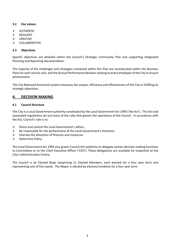#### <span id="page-5-0"></span>**3.2 Our values:**

- $\triangleright$  AUTHENTIC
- RESILIENT
- $\triangleright$  CREATIVE
- $\triangleright$  COLLABORATIVE

#### <span id="page-5-1"></span>**3.3 Objectives**

Specific objectives are detailed within the Council's Strategic Community Plan and supporting Integrated Planning and Reporting documentation.

The majority of the challenges and strategies contained within this Plan are incorporated within the Business Plans for each service unit, and the Annual Performance Reviews relating to every employee of the City to ensure achievement.

The City Balanced Scorecard system measures the output, efficiency and effectiveness of the City in fulfilling its strategic objectives.

## <span id="page-5-2"></span>**4. DECISION MAKING**

#### <span id="page-5-3"></span>**4.1 Council Structure**

The City is a Local Government authority constituted by the *Local Government Act 1995* ('the Act'). This Act and associated regulations set out many of the rules that govern the operations of the Council. In accordance with the Act, Council's role is to:

- $\triangleright$  Direct and control the Local Government's affairs.
- $\triangleright$  Be responsible for the performance of the Local Government's functions.
- $\triangleright$  Oversee the allocation of finances and resources.
- $\triangleright$  Determine Policy.

*The Local Government Act 1995* also grants Council the authority to delegate certain decision making functions to Committees or to the Chief Executive Officer ('CEO'). These delegations are available for inspection at the City's Administration Centre.

The Council is an Elected Body comprising 11 Elected Members, each elected for a four year term and representing one of five wards. The Mayor is elected by electors/residents for a four year term.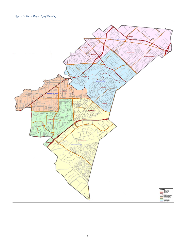<span id="page-6-0"></span>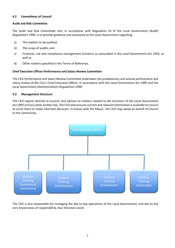#### **4.2 Committees of Council**

#### **Audit and Risk Committee**

The Audit and Risk Committee role, in accordance with Regulation 16 of the *Local Government (Audit) Regulations 1996*, is to provide guidance and assistance to the Local Government regarding:

- a) The matters to be audited;
- b) The scope of audits; and
- c) Financial, risk and compliance management functions as prescribed in the *Local Government Act 1995*; as well as
- d) Other matters specified in the Terms of Reference.

#### **Chief Executive Officer Performance and Salary Review Committee**

The CEO Performance and Salary Review Committee undertakes the probationary and annual performance and salary review of the City's Chief Executive Officer, in accordance with the *Local Government Act 1995* and the *Local Government (Administration) Regulations 1996*.

#### <span id="page-7-0"></span>**4.3 Management Structure**

The CEO reports directly to Council, and advises on matters related to the functions of the *Local Government Act 1995* and any other written law. The CEO also ensures current and relevant information is available to Council to assist them to make informed decisions. In liaison with the Mayor, the CEO may speak on behalf of Council to the community.



The CEO is also responsible for managing the day to day operations of the Local Government, and due to the very broad areas of responsibility, four Directors assist.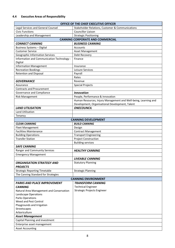## <span id="page-8-0"></span>**4.4 Executive Areas of Responsibility**

|                                            | OFFICE OF THE CHIEF EXECUTIVE OFFICER                           |  |  |  |  |  |
|--------------------------------------------|-----------------------------------------------------------------|--|--|--|--|--|
| Legal Services and General Counsel         | Stakeholder Relations, Customer & Communications                |  |  |  |  |  |
| <b>Civic Functions</b>                     | Councillor Liaison                                              |  |  |  |  |  |
| Leadership and Management                  | <b>Strategic Positioning</b>                                    |  |  |  |  |  |
|                                            | <b>CANNING CORPORATE AND COMMERCIAL</b>                         |  |  |  |  |  |
| <b>CONNECT CANNING</b>                     | <b>BUSINESS CANNING</b>                                         |  |  |  |  |  |
| <b>Business Systems - Digital</b>          | Accounts                                                        |  |  |  |  |  |
| <b>Customer Service</b>                    | Asset Management                                                |  |  |  |  |  |
| <b>Geographic Information Services</b>     | Debt Recovery                                                   |  |  |  |  |  |
| Information and Communication Technology - | Finance                                                         |  |  |  |  |  |
| Digital                                    |                                                                 |  |  |  |  |  |
| <b>Information Management</b>              | Insurance                                                       |  |  |  |  |  |
| <b>Recreation Bookings</b>                 | Leisure Services                                                |  |  |  |  |  |
| <b>Retention and Disposal</b>              | Payroll                                                         |  |  |  |  |  |
|                                            | Rates                                                           |  |  |  |  |  |
| <b>GOVERNANCE</b>                          | Revenue                                                         |  |  |  |  |  |
| Assurance                                  | <b>Special Projects</b>                                         |  |  |  |  |  |
| <b>Contracts and Procurement</b>           |                                                                 |  |  |  |  |  |
| Governance and Compliance                  | <b>Innovation</b>                                               |  |  |  |  |  |
| <b>Risk Management</b>                     | People, Performance & Innovation                                |  |  |  |  |  |
|                                            | Human Resources, Injury Management and Well-being, Learning and |  |  |  |  |  |
|                                            | Development, Organisational Development, Talent                 |  |  |  |  |  |
| <b>LAND UTILISATION</b>                    | <b>ONECOUNCIL</b>                                               |  |  |  |  |  |
| <b>Land Utilisation</b>                    |                                                                 |  |  |  |  |  |
| Tenancy                                    |                                                                 |  |  |  |  |  |
|                                            | <b>CANNING DEVELOPMENT</b>                                      |  |  |  |  |  |
| <b>CLEAN CANNING</b>                       | <b>BUILD CANNING</b>                                            |  |  |  |  |  |
| <b>Fleet Management</b>                    | Design                                                          |  |  |  |  |  |
| <b>Facilities Maintenance</b>              | <b>Contract Management</b>                                      |  |  |  |  |  |
| <b>Building Operations</b>                 | <b>Transport Engineering</b>                                    |  |  |  |  |  |
| <b>Transfer Station</b>                    | <b>Project Construction</b>                                     |  |  |  |  |  |
|                                            | <b>Building services</b>                                        |  |  |  |  |  |
| <b>SAFE CANNING</b>                        |                                                                 |  |  |  |  |  |
| Ranger and Community Services              | <b>HEALTHY CANNING</b>                                          |  |  |  |  |  |
| <b>Emergency Management</b>                |                                                                 |  |  |  |  |  |
|                                            | <b>LIVEABLE CANNING</b>                                         |  |  |  |  |  |
| <b>ORGANISATION STRATEGY AND</b>           | <b>Statutory Planning</b>                                       |  |  |  |  |  |
| <b>PROJECTS</b>                            |                                                                 |  |  |  |  |  |
| <b>Strategic Reporting Timetable</b>       | <b>Strategic Planning</b>                                       |  |  |  |  |  |
| The Canning Standard for Strategies        |                                                                 |  |  |  |  |  |
|                                            | <b>CANNING ENVIRONMENT</b>                                      |  |  |  |  |  |
| <b>PARKS AND PLACE IMPROVEMENT</b>         | TRANSFORM CANNING                                               |  |  |  |  |  |
| <b>CANNING</b>                             | <b>Technical Engineer</b>                                       |  |  |  |  |  |
| Natural Area Management and Conservation   | Strategic Projects Engineer                                     |  |  |  |  |  |
| Landscape Operations                       |                                                                 |  |  |  |  |  |
| Parks Operations                           |                                                                 |  |  |  |  |  |
| Weed and Pest Control                      |                                                                 |  |  |  |  |  |
| Playgrounds and Irrigation<br>Streetscapes |                                                                 |  |  |  |  |  |
| Arboriculture                              |                                                                 |  |  |  |  |  |
| <b>Asset Management</b>                    |                                                                 |  |  |  |  |  |
| Capital Planning and investment            |                                                                 |  |  |  |  |  |
| Enterprise asset management                |                                                                 |  |  |  |  |  |
| <b>Asset Accounting</b>                    |                                                                 |  |  |  |  |  |
|                                            |                                                                 |  |  |  |  |  |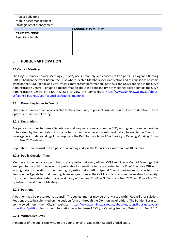| <b>Project Budgeting</b>          |  |  |  |  |  |
|-----------------------------------|--|--|--|--|--|
| Mobile Asset Management           |  |  |  |  |  |
| <b>Strategic Asset Management</b> |  |  |  |  |  |
| <b>CANNING COMMUNITY</b>          |  |  |  |  |  |
| <b>CANNING LODGE</b>              |  |  |  |  |  |
| <b>Aged Care facility</b>         |  |  |  |  |  |
|                                   |  |  |  |  |  |
|                                   |  |  |  |  |  |
|                                   |  |  |  |  |  |
|                                   |  |  |  |  |  |

## <span id="page-9-0"></span>**5. PUBLIC PARTICIPATION**

#### <span id="page-9-1"></span>**5.1 Council Meetings**

The City's Ordinary Council Meetings ('OCMs') occurs monthly and consists of two parts. An Agenda Briefing ('AB') is held on the week before the OCM where Elected Members seek clarification and ask questions on items listed on the OCM Agenda and City Officers' may present information. Both ABs and OCMs are held in the City's Administration Centre. For up to date information about the date and time of meetings please contact the City's Administration Centre on 1300 422 664 or view the City website https://www.canning.wa.gov.au/aboutus/council-business/your-councillors/council-meetings

#### <span id="page-9-2"></span>**5.2 Presenting Issues to Council**

There are a number of options available for the community to present issues to Council for consideration. These options include the following:

#### <span id="page-9-3"></span>**5.2.1 Deputations**

Any persons wishing to make a Deputation shall request approval from the CEO, setting out the subject matter to be raised by the deputation in concise terms, but nevertheless in sufficient detail, to enable the Council to have a general understanding of the purpose of the Deputation. Clause 4.9 of the City of Canning *Standing Orders Local Law 2015* relates.

<span id="page-9-4"></span>Deputations shall consist of two persons who may address the Council for a maximum of 10 minutes.

#### **5.2.2 Public Question Time**

Members of the public are permitted to ask questions at every AB and OCM and Special Council Meetings that are open to the public, however it is preferable for questions to be presented to the Chief Executive Officer in writing, prior to the start of the meeting. Questions at an AB or Special Council meeting must refer to those items on the Agenda for that meeting; however questions at the OCM can be on any matter relating to the City. For further information refer to clause 4.5 City of Canning *Standing Orders Local Law 2015* and Policy AD.02 – Question Time at Council Meetings.

#### <span id="page-9-5"></span>**5.2.3 Petitions**

A Petition may be presented to Council. The subject matter may be on any issue within Council's jurisdiction. Petitions are to be submitted on the petition form or through the City's online ePetition. The Petition Form can be viewed on the City's website https://www.canning.wa.gov.au/about-us/council-business/yourcouncillors/petition. For further information refer to clause 4.7 City of Canning *Standing Orders Local Law 2015*.

#### <span id="page-9-6"></span>**5.2.4 Written Requests**

A member of the public can write to the Council on any issue within Council's jurisdiction.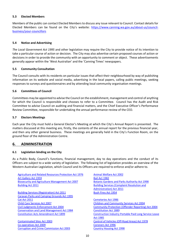#### <span id="page-10-0"></span>**5.3 Elected Members**

Members of the public can contact Elected Membersto discuss any issue relevant to Council. Contact details for Elected Members can be found on the City's website: [https://www.canning.wa.gov.au/about-us/council](https://www.canning.wa.gov.au/about-us/council-business/your-councillors)[business/your-councillors](https://www.canning.wa.gov.au/about-us/council-business/your-councillors)

#### <span id="page-10-1"></span>**5.4 Notice and Advertising**

*The Local Government Act 1995* and other legislation may require the City to provide notice of its intention to take a particular course of action or decision. The City may also advertise certain proposed courses of action or decisions in order to provide the community with an opportunity to comment or object. These advertisements generally appear within the 'West Australian' and the 'Canning Times' newspapers.

#### <span id="page-10-2"></span>**5.5 Community Consultation**

The Council consults with its residents on particular issues that affect their neighbourhood by way of publishing information on its website and social media, advertising in the local papers, calling public meetings, seeking responses to surveys and questionnaires and by attending local community organisation meetings.

#### <span id="page-10-3"></span>**5.6 Committees of Council**

Committees may be appointed to advise the Council on the establishment, management and control of anything for which the Council is responsible and chooses to refer to a Committee. Council has the Audit and Risk Committee to advise Council on auditing and financial matters, and the Chief Executive Officer's Performance Review Committee, responsible for undertaking the annual performance review of the CEO.

#### <span id="page-10-4"></span>**5.7 Electors Meetings**

Each year the City must hold a General Elector's Meeting at which the City's Annual Report is presented. The matters discussed at this meeting are, firstly, the contents of the annual report for the previous financial year, and then any other general business. These meetings are generally held in the City's Function Room, on the ground floor of the Administration Centre.

## <span id="page-10-5"></span>**6. ADMINISTRATION**

#### <span id="page-10-6"></span>**6.1 Legislation binding on the City**

As a Public Body, Council's functions, financial management, day to day operations and the conduct of its Officers are subject to a wide variety of legislation. The following list of legislation provides an overview of the Western Australian Legislation, which Council and its Officers are required to enforce and/or adhere to.

[Agriculture and Related Resources Protection Act 1976](http://www5.austlii.edu.au/au/legis/wa/consol_act/aarrpa1976458/) [Animal Welfare Act 2002](http://www5.austlii.edu.au/au/legis/wa/consol_act/awa2002128/) [Art Gallery Act 1959](http://www5.austlii.edu.au/au/legis/wa/consol_act/aga1959130/) **[Bail Act 1982](http://www5.austlii.edu.au/au/legis/wa/consol_act/ba198241/)** [Biosecurity and Agriculture Management Act 2007](http://www5.austlii.edu.au/au/legis/wa/consol_act/baama2007379/) [Botanic Gardens and Parks Authority Act 1998](http://www5.austlii.edu.au/au/legis/wa/consol_act/bgapaa1998343/) [Building Act 2011](http://www5.austlii.edu.au/au/legis/wa/consol_act/ba201191/) **[Building Services \(Complaint Resolution and](http://www5.austlii.edu.au/au/legis/wa/consol_act/bsraaa2011583/) Services Complaint Resolution and Services (Complaint Resolution and Services (Complaint Resolution and Services (Complaint Resolution and Services (Complaint** 

[Building Services \(Registration\) Act 2011](http://www5.austlii.edu.au/au/legis/wa/consol_act/bsa2011326/) [Bush Fires Act 1954](http://www5.austlii.edu.au/au/legis/wa/consol_act/bfa1954119/) [Caravan Parks and Camping Grounds Act 1995](http://www5.austlii.edu.au/au/legis/wa/consol_act/cpacga1995297/) [Cat Act 2011](http://www5.austlii.edu.au/au/legis/wa/consol_act/ca201142/) [Cemeteries Act 1986](http://www5.austlii.edu.au/au/legis/wa/consol_act/ca1986113/) [Child Care Services Act 2007](http://www5.austlii.edu.au/au/legis/wa/consol_act/ccsa2007167/) [Children and Community Services Act 2004](http://www3.austlii.edu.au/au/legis/wa/consol_act/cacsa2004318/) [Conservation and Land Management Act 1984](http://www5.austlii.edu.au/au/legis/wa/consol_act/calma1984290/) [Constitution Act 1889](http://www5.austlii.edu.au/au/legis/wa/consol_act/ca1889188/)

[Co-operatives Act 2009](http://www5.austlii.edu.au/au/legis/wa/consol_act/ca2009157/) [Coroners Act 1996](http://www5.austlii.edu.au/au/legis/wa/consol_act/ca1996120/) [Corruption and Crime Commission Act 2003](http://www5.austlii.edu.au/au/legis/wa/consol_act/cacca2003338/) [Country Housing Act 1998](http://www5.austlii.edu.au/au/legis/wa/consol_act/cha1998216/)

[Administration\) Act 2011](http://www5.austlii.edu.au/au/legis/wa/consol_act/bsraaa2011583/)

[Civil Judgments Enforcement Act 2004](http://www5.austlii.edu.au/au/legis/wa/consol_act/cjea2004282/) [Community Protection \(Offender Reporting\) Act 2004](http://www5.austlii.edu.au/au/legis/wa/consol_act/cpra2004448/) [Constitution Acts Amendment Act 1899](http://www5.austlii.edu.au/au/legis/wa/consol_act/caaa1899307/) Construction Industry Portable Paid Long Service Leave [Act 1985](http://www5.austlii.edu.au/au/legis/wa/consol_act/cipplsla1985567/) [Contaminated Sites Act 2003](http://www5.austlii.edu.au/au/legis/wa/consol_act/csa2003195/) [Control of Vehicles \(Off-Road Areas\) Act 1978](http://www5.austlii.edu.au/au/legis/wa/consol_act/covaa1978302/)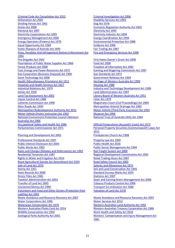[Criminal Code Act Compilation Act 1913](http://www5.austlii.edu.au/au/legis/wa/consol_act/ccaca1913252/) [Criminal Investigation Act 2006](http://www5.austlii.edu.au/au/legis/wa/consol_act/cia2006243/) [Defamation Act 2005](http://www5.austlii.edu.au/au/legis/wa/consol_act/da200599/) [Disability Services Act 1993](http://www5.austlii.edu.au/au/legis/wa/consol_act/dsa1993213/) [Dividing Fences Act 1961](http://www5.austlii.edu.au/au/legis/wa/consol_act/dfa1961137/) [Dog Act 1976](http://www5.austlii.edu.au/au/legis/wa/consol_act/da197644/) [Duties Act 2008](http://www5.austlii.edu.au/au/legis/wa/consol_act/da200893/) [Economic Regulation Authority Act 2003](http://www5.austlii.edu.au/au/legis/wa/consol_act/eraa2003330/) [Electoral Act 1907](http://www5.austlii.edu.au/au/legis/wa/consol_act/ea1907103/) [Electricity Act 1945](http://www5.austlii.edu.au/au/legis/wa/consol_act/ea1945139/) [Electricity Corporations Act 2005](http://www5.austlii.edu.au/au/legis/wa/consol_act/eca2005290/) [Electricity Industry Act 2004](http://www5.austlii.edu.au/au/legis/wa/consol_act/eia2004261/) [Emergency Management Act 2005](http://www5.austlii.edu.au/au/legis/wa/consol_act/ema2005190/) [Energy Coordination Act 1994](http://www5.austlii.edu.au/au/legis/wa/consol_act/eca1994214/) [Energy Operators \(Powers\) Act 1979](http://www5.austlii.edu.au/au/legis/wa/consol_act/eoa1979297/) [Environmental Protection Act 1986](http://www5.austlii.edu.au/au/legis/wa/consol_act/epa1986295/) [Equal Opportunity Act 1984](http://www5.austlii.edu.au/au/legis/wa/consol_act/eoa1984250/) Equal Opportunity Act 1984 [Exotic Diseases of Animals Act 1993](http://www5.austlii.edu.au/au/legis/wa/consol_act/edoaa1993245/) **[Fair Trading Act 1987](http://www5.austlii.edu.au/au/legis/wa/consol_act/fta1987117/)** [Fines, Penalties And Infringement Notices Enforcement Act](http://www5.austlii.edu.au/au/legis/wa/consol_act/fpainea1994484/)  [1994](http://www5.austlii.edu.au/au/legis/wa/consol_act/fpainea1994484/) [Fire Brigades Act 1942](http://www5.austlii.edu.au/au/legis/wa/consol_act/fba1942112/) **[First Home Owner's Grant Act 2000](http://www5.austlii.edu.au/au/legis/wa/consol_act/fhoga2000250/)** [Fluoridation of Public Water Supplies Act 1966](http://www5.austlii.edu.au/au/legis/wa/consol_act/fopwsa1966400/) [Food Act 2008](http://www5.austlii.edu.au/au/legis/wa/consol_act/fa200857/) [Forest Products Act 2000](http://www5.austlii.edu.au/au/legis/wa/consol_act/fpa2000206/) [Freedom of Information Act 1992](http://www5.austlii.edu.au/au/legis/wa/consol_act/foia1992222/) [Fuel, Energy and Power Resources Act 1972](http://www5.austlii.edu.au/au/legis/wa/consol_act/feapra1972331/) [Gaming and Wagering Commission Act 1987](http://www5.austlii.edu.au/au/legis/wa/consol_act/gawca1987277/) [Gas Corporation \(Business Disposal\) Act 1999](http://www5.austlii.edu.au/au/legis/wa/consol_act/gcda1999365/) [Gas Standards Act 1972](http://www5.austlii.edu.au/au/legis/wa/consol_act/gsa1972136/) [Gene Technology Act 2006](http://www5.austlii.edu.au/au/legis/wa/consol_act/gta2006162/) [Government Railways Act 1904](http://www5.austlii.edu.au/au/legis/wa/consol_act/gra1904244/) [Health \(Miscellaneous Provisions\) Act 1911](http://www5.austlii.edu.au/au/legis/wa/consol_act/ha191169/) [Heritage of Western Australia Act 1990](http://www5.austlii.edu.au/au/legis/wa/consol_act/howaa1990295/) [Hospitals and Health Services Act 1927](http://www5.austlii.edu.au/au/legis/wa/consol_act/hahsa1927287/) [Housing Act 1980](http://www5.austlii.edu.au/au/legis/wa/consol_act/ha1980107/) [Industrial Relations Act 1979](http://www5.austlii.edu.au/au/legis/wa/consol_act/ira1979242/) [Industry and Technology Development Act 1998](http://www5.austlii.edu.au/au/legis/wa/consol_act/iatda1998393/) [Jetties Act 1926](http://www5.austlii.edu.au/au/legis/wa/consol_act/ja1926102/) [Land Administration Act 1997](http://www5.austlii.edu.au/au/legis/wa/consol_act/laa1997200/) [Land Tax Assessment Act 2002](http://www5.austlii.edu.au/au/legis/wa/consol_act/ltaa2002214/) [Library Board of Western Australia Act 1951](http://www5.austlii.edu.au/au/legis/wa/consol_act/lbowaa1951343/) [Liquor Control Act 1988](http://www5.austlii.edu.au/au/legis/wa/consol_act/lca1988197/) [Litter Act 1979](http://www5.austlii.edu.au/au/legis/wa/consol_act/la197999/) [Lotteries Commission Act 1990](http://www5.austlii.edu.au/au/legis/wa/consol_act/lca1990254/) Magistrates [Court \(Civil Proceedings\) Act 2004](http://www5.austlii.edu.au/au/legis/wa/consol_act/mcpa2004368/) [Main Roads Act 1930](http://www5.austlii.edu.au/au/legis/wa/consol_act/mra1930106/) [Metropolitan Arterial Drainage Act 1982](http://www5.austlii.edu.au/au/legis/wa/consol_act/mada1982294/) [Metropolitan Redevelopment Authority Act 2011](http://www5.austlii.edu.au/au/legis/wa/consol_act/mraa2011436/) [Motor Vehicle \(Third Party Insurance\) Act 1943](http://www5.austlii.edu.au/au/legis/wa/consol_act/mvp84ia1943359/) [Motor Vehicle Drivers Instructors Act 1963](http://www5.austlii.edu.au/au/legis/wa/consol_act/mvdia1963407/) [Museum Act 1969](http://www5.austlii.edu.au/au/legis/wa/consol_act/ma1969107/) [National Environment Protection Council \(Western](http://www5.austlii.edu.au/au/legis/wa/consol_act/nepcaa1996622/)  [Australia\) Act 1966](http://www5.austlii.edu.au/au/legis/wa/consol_act/nepcaa1996622/) [Occupational Safety and Health Act 1984](http://www5.austlii.edu.au/au/legis/wa/consol_act/osaha1984273/) **[Official Prosecutions \(Accused's Costs\) Act 1973](http://www5.austlii.edu.au/au/legis/wa/consol_act/opca1973374/)** [Parliamentary Commissioner Act 1971](http://www5.austlii.edu.au/au/legis/wa/consol_act/pca1971301/) **Personal Property Securities (Commonwealth Laws) Act** [Planning and Development Act 2005](http://www5.austlii.edu.au/au/legis/wa/consol_act/pada2005236/) [Presbyterian Church Act 1908](http://www5.austlii.edu.au/au/legis/wa/consol_act/pca1908216/) [Professional Standards Act 1997](http://www5.austlii.edu.au/au/legis/wa/consol_act/psa1997249/) [Property Law Act 1969](http://www5.austlii.edu.au/au/legis/wa/consol_act/pla1969179/)

[Public Interest Disclosure Act 2003](http://www5.austlii.edu.au/au/legis/wa/consol_act/pida2003295/) Public Health Act 2016 [Public Works Act 1902](http://www5.austlii.edu.au/au/legis/wa/consol_act/pwa1902159/) **[Public Sector Management Act 1994](http://www5.austlii.edu.au/au/legis/wa/consol_act/psma1994235/)** [Rates and Charges \(Rebates and Deferments\) Act 1992](http://www5.austlii.edu.au/au/legis/wa/consol_act/racada1992327/) [Rail Freight System Act 2000](http://www5.austlii.edu.au/au/legis/wa/consol_act/rfsa2000218/) [Residential Tenancies Act 1987](http://www5.austlii.edu.au/au/legis/wa/consol_act/rta1987207/) **Regional Development Commissions Act 1993** [Rights in Water and Irrigation Act 1914](http://www5.austlii.edu.au/au/legis/wa/consol_act/riwaia1914305/) **[Retail Trading Hours Act 1987](http://www5.austlii.edu.au/au/legis/wa/consol_act/rtha1987222/)** [Royal Agricultural Society Act Amendment Act 1929](http://www5.austlii.edu.au/au/legis/wa/consol_act/rasaaa1929408/) [Road Safety Council Act 2002](http://www5.austlii.edu.au/au/legis/wa/consol_act/rsca2002195/) [Sale of Land Act 1970](http://www5.austlii.edu.au/au/legis/wa/consol_act/sola1970100/) [Salaries and Allowances Act 1975](http://www5.austlii.edu.au/au/legis/wa/consol_act/saaa1975208/) [Stamp Act 1921](http://www5.austlii.edu.au/au/legis/wa/consol_act/sa192185/) [Soil and Land Conservation Act 1945](http://www5.austlii.edu.au/au/legis/wa/consol_act/salca1945258/) [State Records Act 2000](http://www5.austlii.edu.au/au/legis/wa/consol_act/sra2000156/) [Standard Surveys Marks Act 1924](http://www5.austlii.edu.au/au/legis/wa/consol_act/ssma1924255/)  [Strata Titles Act 1985](http://www5.austlii.edu.au/au/legis/wa/consol_act/sta1985173/) Strata Titles Act 1985 [Taxation Administration Act 2003](http://www5.austlii.edu.au/au/legis/wa/consol_act/taa2003269/) [Swan and Canning Rivers Management Act 2006](http://www5.austlii.edu.au/au/legis/wa/consol_act/sacrma2006313/) [Transfer of Land Act 1893](http://www5.austlii.edu.au/au/legis/wa/consol_act/tola1893160/) [Tobacco Products Control Act 2006](http://www5.austlii.edu.au/au/legis/wa/consol_act/tpca2006271/) [Unclaimed Money Act 1990](http://www5.austlii.edu.au/au/legis/wa/consol_act/uma1990161/) [Transport Co-ordination Act 1966](http://www5.austlii.edu.au/au/legis/wa/consol_act/tca1966278/) [Volunteers and Food and Other Donors \(Protection from](http://www5.austlii.edu.au/au/legis/wa/consol_act/vafaodfla2002633/)  [Liability\) Act 2002](http://www5.austlii.edu.au/au/legis/wa/consol_act/vafaodfla2002633/) [Waste Avoidance and Resource Recovery Act 2007](http://www5.austlii.edu.au/au/legis/wa/consol_act/waarra2007364/) [Waste Avoidance and Resource Recovery Act 2007](http://www5.austlii.edu.au/au/legis/wa/consol_act/waarra2007364/) [Water Corporations Act 1995](http://www5.austlii.edu.au/au/legis/wa/consol_act/wca1995234/) [Water Services Act 2012](http://www5.austlii.edu.au/au/legis/wa/consol_act/wsa2012175/) [Waterways Conservation Act 1976](http://www5.austlii.edu.au/au/legis/wa/consol_act/wca1976290/) [Western Australian Land Authority Act 1992](http://www5.austlii.edu.au/au/legis/wa/consol_act/walaa1992379/) [Western Australian Photo Card Act 2014](http://www5.austlii.edu.au/au/legis/wa/consol_act/wapca2014315/) [Western Australian Treasury Corporation Act 1986](http://www5.austlii.edu.au/au/legis/wa/consol_act/watca1986476/) [Wildlife Conservation Act 1950](http://www5.austlii.edu.au/au/legis/wa/consol_act/wca1950236/) [Work Health and Safety Act 2020](http://classic.austlii.edu.au/au/legis/wa/consol_act/whasa2020218/)

[Fire and Emergency Services Act 1998](http://www5.austlii.edu.au/au/legis/wa/consol_act/faesa1998249/)

[National Trust of Australia \(WA\) Act 1964](http://www5.austlii.edu.au/au/legis/wa/consol_act/ntoaa1964326/)

[2011](http://www5.austlii.edu.au/au/legis/wa/consol_act/ppsla2011537/) 

[Valuation of Land Act](http://www5.austlii.edu.au/au/legis/wa/consol_act/vola1978173/) 1978

[Zoological Parks Authority Act 2001](http://www3.austlii.edu.au/au/legis/wa/consol_act/zpaa2001314/) [Workers' Compensation and Injury Management Act](http://www3.austlii.edu.au/au/legis/wa/consol_act/wcaima1981445/)  [1981](http://www3.austlii.edu.au/au/legis/wa/consol_act/wcaima1981445/)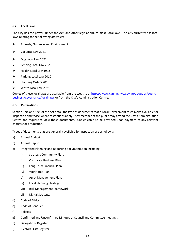#### <span id="page-12-0"></span>**6.2 Local Laws**

The City has the power, under the Act (and other legislation), to make local laws. The City currently has local laws relating to the following activities:

- Animals, Nuisance and Environment
- $\triangleright$  Cat Local Law 2021
- $\triangleright$  Dog Local Law 2021
- **Example 2021** Fencing Local Law 2021
- $\blacktriangleright$  Health Local Law 1998
- Parking Local Law 2010
- $\triangleright$  Standing Orders 2015.
- Waste Local Law 2021

Copies of these local laws are available from the website at https://www.canning.wa.gov.au/about-us/councilbusiness/governance/local-laws or from the City's Administration Centre.

#### <span id="page-12-1"></span>**6.3 Publications**

Section 5.94 and 5.95 of the Act detail the type of documents that a Local Government must make available for inspection and those where restrictions apply. Any member of the public may attend the City's Administration Centre and request to view these documents. Copies can also be provided upon payment of any relevant charges for production.

Types of documents that are generally available for inspection are as follows:

- a) Annual Budget.
- b) Annual Report.
- c) Integrated Planning and Reporting documentation including:
	- i) Strategic Community Plan.
	- ii) Corporate Business Plan.
	- iii) Long Term Financial Plan.
	- iv) Workforce Plan.
	- v) Asset Management Plan.
	- vi) Local Planning Strategy.
	- vii) Risk Management Framework.
	- viii) Digital Strategy.
- d) Code of Ethics.
- e) Code of Conduct.
- f) Policies.
- g) Confirmed and Unconfirmed Minutes of Council and Committee meetings.
- h) Delegations Register.
- i) Electoral Gift Register.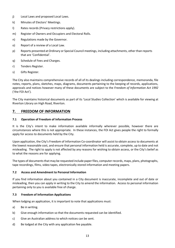- j) Local Laws and proposed Local Laws.
- k) Minutes of Electors' Meetings.
- l) Rates records (Privacy restrictions apply).
- m) Register of Owners and Occupiers and Electoral Rolls.
- n) Regulations made by the Governor.
- o) Report of a review of a Local Law.
- p) Reports presented at Ordinary or Special Council meetings, including attachments, other than reports that are 'Confidential'.
- q) Schedule of Fees and Charges.
- r) Tenders Register.
- s) Gifts Register.

The City also maintains comprehensive records of all of its dealings including correspondence, memoranda, file notes, reports, plans, sketches, maps, diagrams, documents pertaining to the keeping of records, applications, approvals and notices however many of these documents are subject to the *Freedom of Information Act 1992*  ('the FOI Act')*.* 

The City maintains historical documents as part of its 'Local Studies Collection' which is available for viewing at Riverton Library on High Road, Riverton.

## <span id="page-13-0"></span>**7. FREEDOM OF INFORMATION**

#### <span id="page-13-1"></span>**7.1 Operation of Freedom of Information Process**

It is the City's intent to make information available informally wherever possible, however there are circumstances where this is not appropriate. In these instances, the FOI Act gives people the right to formally apply for access to documents held by the City.

Upon application, the City's Freedom of Information Co-coordinator will assist to obtain access to documents at the lowest reasonable cost, and ensure that personal information held is accurate, complete, up to date and not misleading. The right to apply is not affected by any reasons for wishing to obtain access, or the City's belief as to what the reasons are for applying.

The types of documents that may be requested include paper files, computer records, maps, plans, photographs, tape recordings, films, video tapes, electronically stored information and meeting papers.

#### <span id="page-13-2"></span>**7.2 Access and Amendment to Personal Information**

If you find information about you contained in a City document is inaccurate, incomplete and out of date or misleading, then you can apply in writing to the City to amend the information. Access to personal information pertaining only to you is available free of charge.

#### <span id="page-13-3"></span>**7.3 Freedom of Information Applications**

When lodging an application, it is important to note that applications must:

- a) Be in writing.
- b) Give enough information so that the documents requested can be identified.
- c) Give an Australian address to which notices can be sent.
- d) Be lodged at the City with any application fee payable.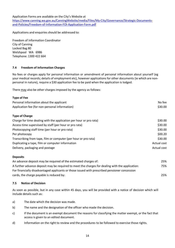Application Forms are available on the City's Website at

https://www.canning.wa.gov.au/CanningWebsite/media/Files/My-City/Governance/Strategic-Documentsand-Policies/Freedom-of-Information-FOI-Application-Form.pdf

Applications and enquiries should be addressed to:

Freedom of Information Coordinator City of Canning Locked Bag 80 Welshpool WA 6986 Telephone: 1300 422 664

#### <span id="page-14-0"></span>**7.4 Freedom of Information Charges**

No fees or charges apply for personal information or amendment of personal information about yourself (eg your medical records; details of employment etc), however applications for other documents (ie which are nonpersonal in nature), require a \$30 application fee to be paid when the application is lodged.

There may also be other charges imposed by the agency as follows:

| <b>Type of Fee</b>                                                 |             |
|--------------------------------------------------------------------|-------------|
| Personal information about the applicant                           | No fee      |
| Application fee (for non-personal information)                     | \$30.00     |
| <b>Type of Charge</b>                                              |             |
| Charge for time dealing with the application per hour or pro rata) | \$30.00     |
| Access time supervised by staff (per hour or pro rata)             | \$30.00     |
| Photocopying staff time (per hour or pro rata)                     | \$30.00     |
| Per photocopy                                                      | \$00.20     |
| Transcribing from tape, film or computer (per hour or pro rata)    | \$30.00     |
| Duplicating a tape, film or computer information                   | Actual cost |
| Delivery, packaging and postage                                    | Actual cost |

#### **Deposits**

| An advance deposit may be required of the estimated charges of:                                 | 25% |
|-------------------------------------------------------------------------------------------------|-----|
| A further advance deposit may be required to meet the charges for dealing with the application: | 75% |
| For financially disadvantaged applicants or those issued with prescribed pensioner concession   |     |
| cards, the charge payable is reduced by:                                                        | 25% |

#### <span id="page-14-1"></span>**7.5 Notice of Decision**

As soon as possible, but in any case within 45 days, you will be provided with a notice of decision which will include details such as:

- a) The date which the decision was made.
- b) The name and the designation of the officer who made the decision.
- c) If the document is an exempt document the reasons for classifying the matter exempt, or the fact that access is given to an edited document.
- d) Information on the right to review and the procedures to be followed to exercise those rights.